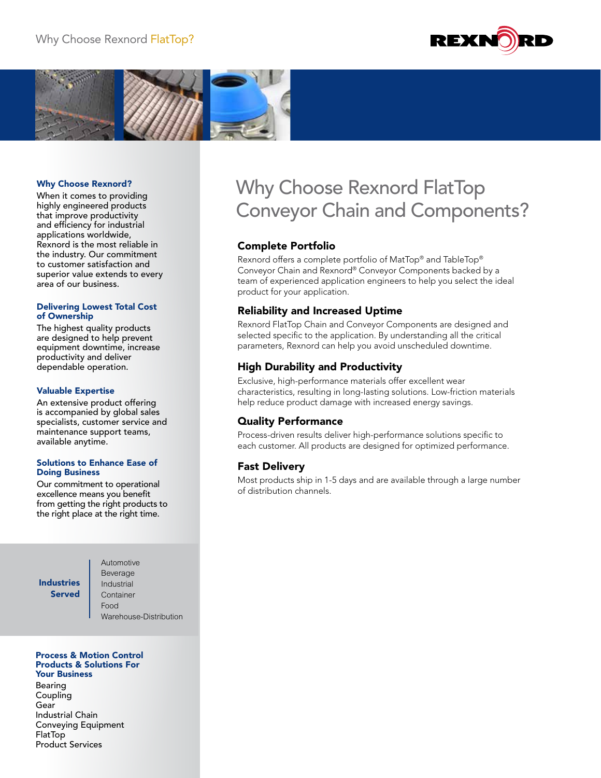



#### Why Choose Rexnord?

When it comes to providing highly engineered products that improve productivity and efficiency for industrial applications worldwide, Rexnord is the most reliable in the industry. Our commitment to customer satisfaction and superior value extends to every area of our business.

#### Delivering Lowest Total Cost of Ownership

The highest quality products are designed to help prevent equipment downtime, increase productivity and deliver dependable operation.

#### Valuable Expertise

An extensive product offering is accompanied by global sales specialists, customer service and maintenance support teams, available anytime.

#### Solutions to Enhance Ease of Doing Business

Our commitment to operational excellence means you benefit from getting the right products to the right place at the right time.

## Industries Served

Automotive Beverage Industrial **Container** Food Warehouse-Distribution

#### Process & Motion Control Products & Solutions For Your Business

Bearing Coupling Gear Industrial Chain Conveying Equipment FlatTop Product Services

# Why Choose Rexnord FlatTop Conveyor Chain and Components?

#### Complete Portfolio

Rexnord offers a complete portfolio of MatTop® and TableTop® Conveyor Chain and Rexnord® Conveyor Components backed by a team of experienced application engineers to help you select the ideal product for your application.

#### Reliability and Increased Uptime

Rexnord FlatTop Chain and Conveyor Components are designed and selected specific to the application. By understanding all the critical parameters, Rexnord can help you avoid unscheduled downtime.

## High Durability and Productivity

Exclusive, high-performance materials offer excellent wear characteristics, resulting in long-lasting solutions. Low-friction materials help reduce product damage with increased energy savings.

#### Quality Performance

Process-driven results deliver high-performance solutions specific to each customer. All products are designed for optimized performance.

#### Fast Delivery

Most products ship in 1-5 days and are available through a large number of distribution channels.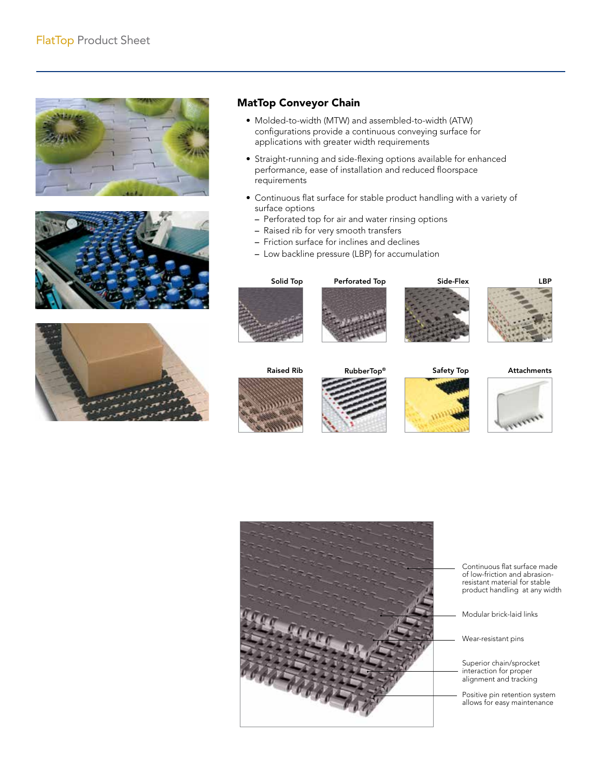





## MatTop Conveyor Chain

- Molded-to-width (MTW) and assembled-to-width (ATW) configurations provide a continuous conveying surface for applications with greater width requirements
- Straight-running and side-flexing options available for enhanced performance, ease of installation and reduced floorspace requirements
- Continuous flat surface for stable product handling with a variety of surface options
	- Perforated top for air and water rinsing options
	- Raised rib for very smooth transfers
	- Friction surface for inclines and declines
	- Low backline pressure (LBP) for accumulation









Attachments













Continuous flat surface made of low-friction and abrasionresistant material for stable product handling at any width

Modular brick-laid links

Wear-resistant pins

Superior chain/sprocket interaction for proper alignment and tracking

Positive pin retention system allows for easy maintenance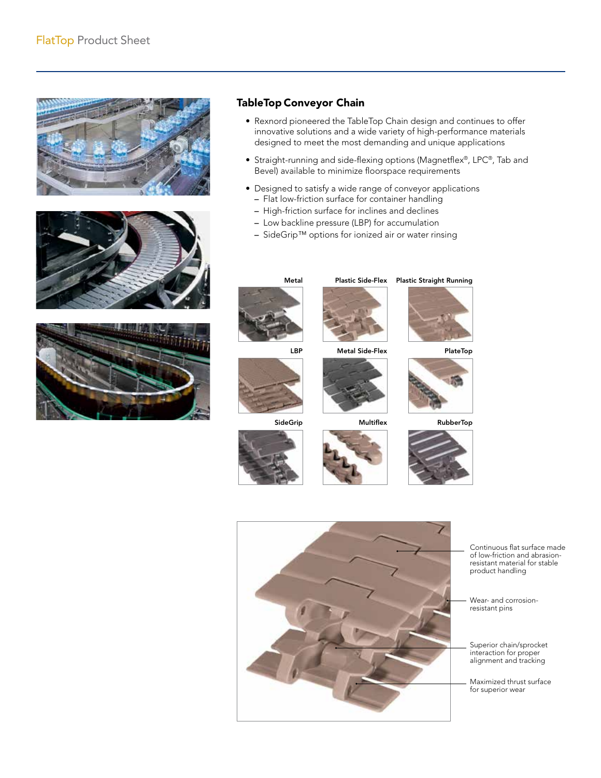





## TableTop Conveyor Chain

- Rexnord pioneered the TableTop Chain design and continues to offer innovative solutions and a wide variety of high-performance materials designed to meet the most demanding and unique applications
- Straight-running and side-flexing options (Magnetflex®, LPC®, Tab and Bevel) available to minimize floorspace requirements
- Designed to satisfy a wide range of conveyor applications
	- Flat low-friction surface for container handling
	- High-friction surface for inclines and declines
	- Low backline pressure (LBP) for accumulation
	- SideGrip™ options for ionized air or water rinsing



SideGrip





Metal Side-Flex



**Multiflex** 





RubberTop





Continuous flat surface made of low-friction and abrasionresistant material for stable product handling

Wear- and corrosionresistant pins

Superior chain/sprocket interaction for proper alignment and tracking

Maximized thrust surface for superior wear